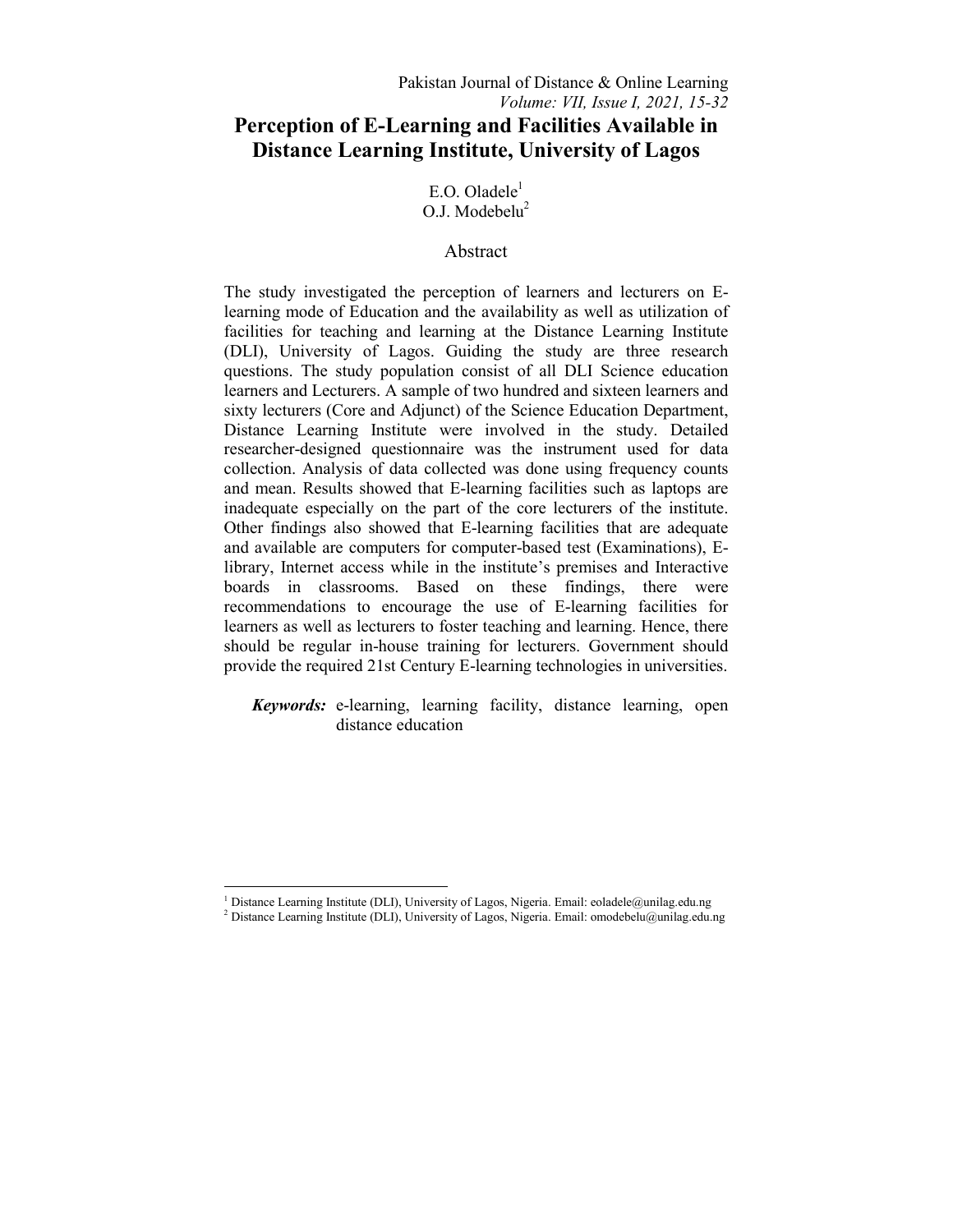$E.O.$  Oladele $<sup>1</sup>$ </sup>  $O.J.$  Modebelu<sup>2</sup>

# Abstract

The study investigated the perception of learners and lecturers on Elearning mode of Education and the availability as well as utilization of facilities for teaching and learning at the Distance Learning Institute (DLI), University of Lagos. Guiding the study are three research questions. The study population consist of all DLI Science education learners and Lecturers. A sample of two hundred and sixteen learners and sixty lecturers (Core and Adjunct) of the Science Education Department, Distance Learning Institute were involved in the study. Detailed researcher-designed questionnaire was the instrument used for data collection. Analysis of data collected was done using frequency counts and mean. Results showed that E-learning facilities such as laptops are inadequate especially on the part of the core lecturers of the institute. Other findings also showed that E-learning facilities that are adequate and available are computers for computer-based test (Examinations), Elibrary, Internet access while in the institute's premises and Interactive boards in classrooms. Based on these findings, there were recommendations to encourage the use of E-learning facilities for learners as well as lecturers to foster teaching and learning. Hence, there should be regular in-house training for lecturers. Government should provide the required 21st Century E-learning technologies in universities.

*Keywords:* e-learning, learning facility, distance learning, open distance education

1

<sup>&</sup>lt;sup>1</sup> Distance Learning Institute (DLI), University of Lagos, Nigeria. Email: eoladele@unilag.edu.ng<br><sup>2</sup> Distance Learning Institute (DLI), University of Lagos, Nigeria. Email: emadebelu@unilag.edu.

<sup>&</sup>lt;sup>2</sup> Distance Learning Institute (DLI), University of Lagos, Nigeria. Email: omodebelu@unilag.edu.ng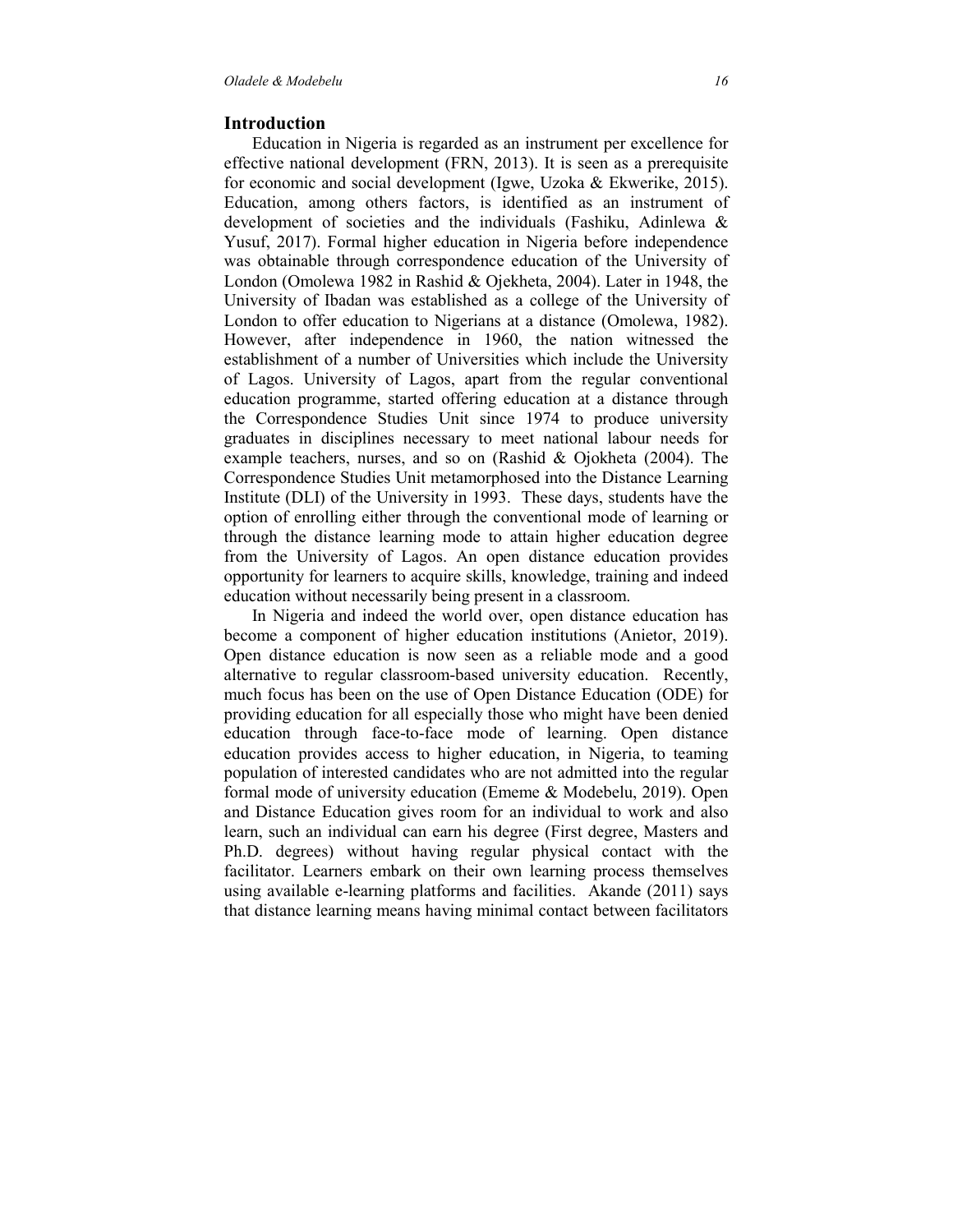### **Introduction**

 Education in Nigeria is regarded as an instrument per excellence for effective national development (FRN, 2013). It is seen as a prerequisite for economic and social development (Igwe, Uzoka & Ekwerike, 2015). Education, among others factors, is identified as an instrument of development of societies and the individuals (Fashiku, Adinlewa & Yusuf, 2017). Formal higher education in Nigeria before independence was obtainable through correspondence education of the University of London (Omolewa 1982 in Rashid & Ojekheta, 2004). Later in 1948, the University of Ibadan was established as a college of the University of London to offer education to Nigerians at a distance (Omolewa, 1982). However, after independence in 1960, the nation witnessed the establishment of a number of Universities which include the University of Lagos. University of Lagos, apart from the regular conventional education programme, started offering education at a distance through the Correspondence Studies Unit since 1974 to produce university graduates in disciplines necessary to meet national labour needs for example teachers, nurses, and so on (Rashid & Ojokheta (2004). The Correspondence Studies Unit metamorphosed into the Distance Learning Institute (DLI) of the University in 1993. These days, students have the option of enrolling either through the conventional mode of learning or through the distance learning mode to attain higher education degree from the University of Lagos. An open distance education provides opportunity for learners to acquire skills, knowledge, training and indeed education without necessarily being present in a classroom.

 In Nigeria and indeed the world over, open distance education has become a component of higher education institutions (Anietor, 2019). Open distance education is now seen as a reliable mode and a good alternative to regular classroom-based university education. Recently, much focus has been on the use of Open Distance Education (ODE) for providing education for all especially those who might have been denied education through face-to-face mode of learning. Open distance education provides access to higher education, in Nigeria, to teaming population of interested candidates who are not admitted into the regular formal mode of university education (Ememe & Modebelu, 2019). Open and Distance Education gives room for an individual to work and also learn, such an individual can earn his degree (First degree, Masters and Ph.D. degrees) without having regular physical contact with the facilitator. Learners embark on their own learning process themselves using available e-learning platforms and facilities. Akande (2011) says that distance learning means having minimal contact between facilitators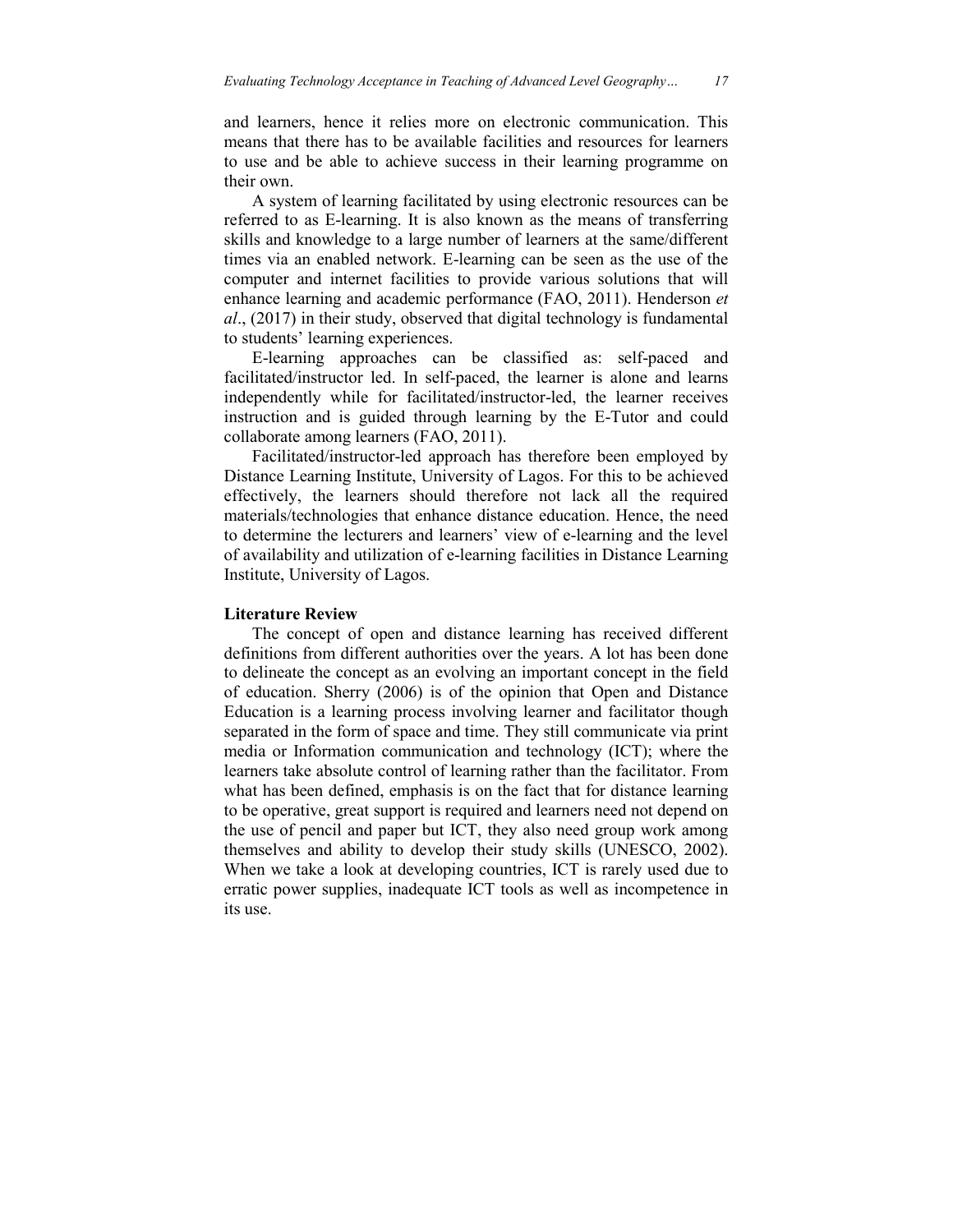and learners, hence it relies more on electronic communication. This means that there has to be available facilities and resources for learners to use and be able to achieve success in their learning programme on their own.

 A system of learning facilitated by using electronic resources can be referred to as E-learning. It is also known as the means of transferring skills and knowledge to a large number of learners at the same/different times via an enabled network. E-learning can be seen as the use of the computer and internet facilities to provide various solutions that will enhance learning and academic performance (FAO, 2011). Henderson *et al*., (2017) in their study, observed that digital technology is fundamental to students' learning experiences.

 E-learning approaches can be classified as: self-paced and facilitated/instructor led. In self-paced, the learner is alone and learns independently while for facilitated/instructor-led, the learner receives instruction and is guided through learning by the E-Tutor and could collaborate among learners (FAO, 2011).

 Facilitated/instructor-led approach has therefore been employed by Distance Learning Institute, University of Lagos. For this to be achieved effectively, the learners should therefore not lack all the required materials/technologies that enhance distance education. Hence, the need to determine the lecturers and learners' view of e-learning and the level of availability and utilization of e-learning facilities in Distance Learning Institute, University of Lagos.

### **Literature Review**

 The concept of open and distance learning has received different definitions from different authorities over the years. A lot has been done to delineate the concept as an evolving an important concept in the field of education. Sherry (2006) is of the opinion that Open and Distance Education is a learning process involving learner and facilitator though separated in the form of space and time. They still communicate via print media or Information communication and technology (ICT); where the learners take absolute control of learning rather than the facilitator. From what has been defined, emphasis is on the fact that for distance learning to be operative, great support is required and learners need not depend on the use of pencil and paper but ICT, they also need group work among themselves and ability to develop their study skills (UNESCO, 2002). When we take a look at developing countries, ICT is rarely used due to erratic power supplies, inadequate ICT tools as well as incompetence in its use.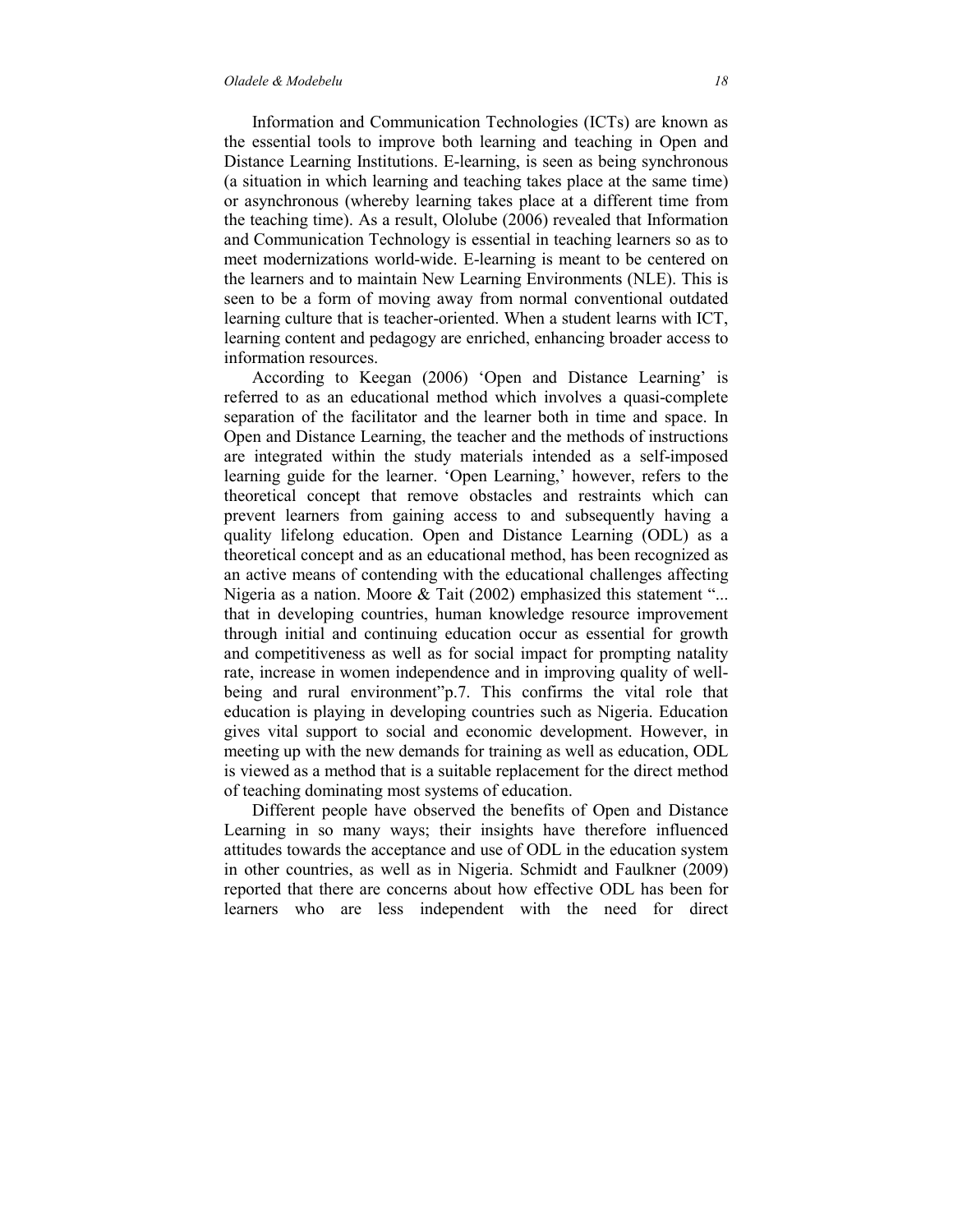Information and Communication Technologies (ICTs) are known as the essential tools to improve both learning and teaching in Open and Distance Learning Institutions. E-learning, is seen as being synchronous (a situation in which learning and teaching takes place at the same time) or asynchronous (whereby learning takes place at a different time from the teaching time). As a result, Ololube (2006) revealed that Information and Communication Technology is essential in teaching learners so as to meet modernizations world-wide. E-learning is meant to be centered on the learners and to maintain New Learning Environments (NLE). This is seen to be a form of moving away from normal conventional outdated learning culture that is teacher-oriented. When a student learns with ICT, learning content and pedagogy are enriched, enhancing broader access to information resources.

 According to Keegan (2006) 'Open and Distance Learning' is referred to as an educational method which involves a quasi-complete separation of the facilitator and the learner both in time and space. In Open and Distance Learning, the teacher and the methods of instructions are integrated within the study materials intended as a self-imposed learning guide for the learner. 'Open Learning,' however, refers to the theoretical concept that remove obstacles and restraints which can prevent learners from gaining access to and subsequently having a quality lifelong education. Open and Distance Learning (ODL) as a theoretical concept and as an educational method, has been recognized as an active means of contending with the educational challenges affecting Nigeria as a nation. Moore  $\&$  Tait (2002) emphasized this statement "... that in developing countries, human knowledge resource improvement through initial and continuing education occur as essential for growth and competitiveness as well as for social impact for prompting natality rate, increase in women independence and in improving quality of wellbeing and rural environment"p.7. This confirms the vital role that education is playing in developing countries such as Nigeria. Education gives vital support to social and economic development. However, in meeting up with the new demands for training as well as education, ODL is viewed as a method that is a suitable replacement for the direct method of teaching dominating most systems of education.

 Different people have observed the benefits of Open and Distance Learning in so many ways; their insights have therefore influenced attitudes towards the acceptance and use of ODL in the education system in other countries, as well as in Nigeria. Schmidt and Faulkner (2009) reported that there are concerns about how effective ODL has been for learners who are less independent with the need for direct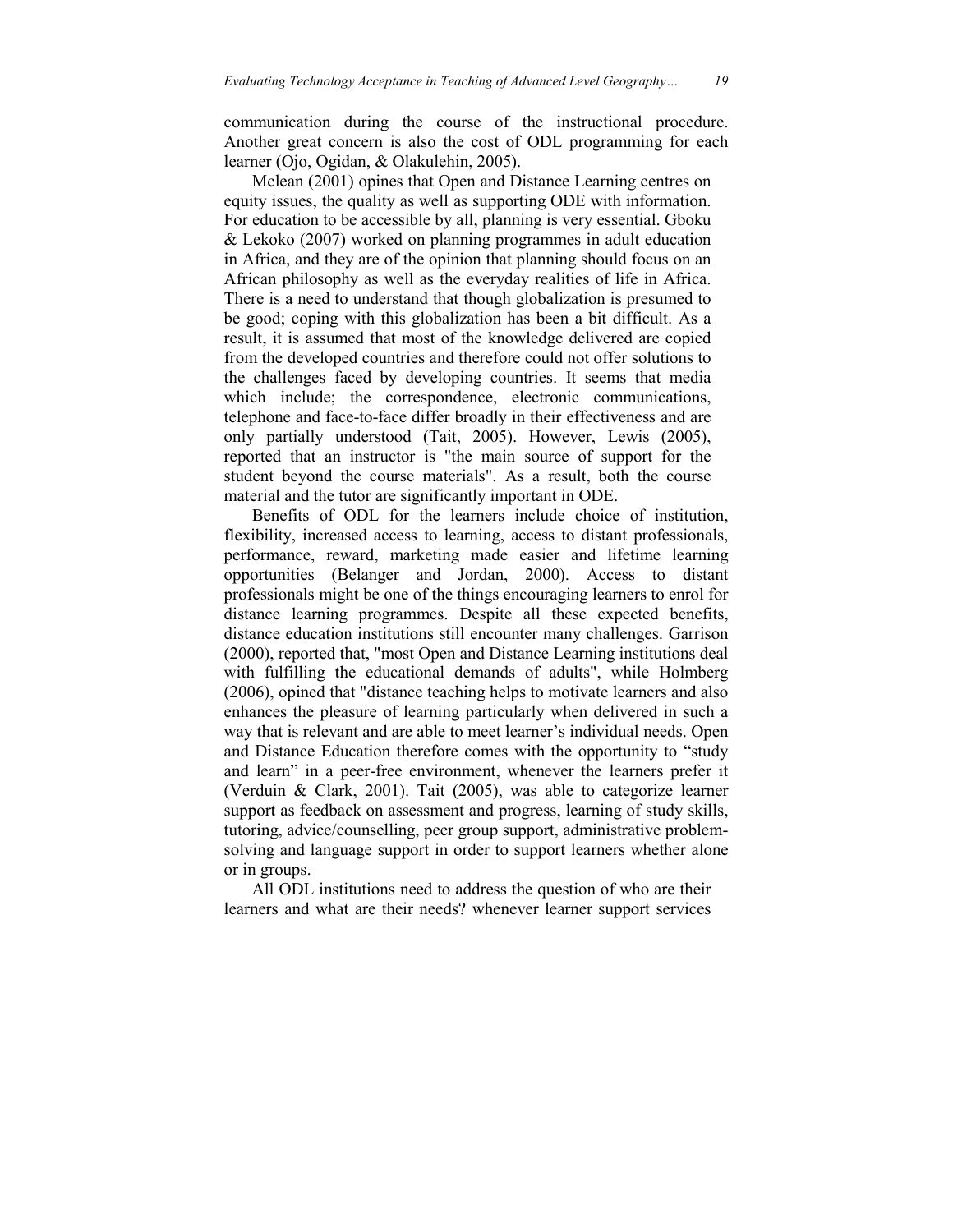communication during the course of the instructional procedure. Another great concern is also the cost of ODL programming for each learner (Ojo, Ogidan, & Olakulehin, 2005).

 Mclean (2001) opines that Open and Distance Learning centres on equity issues, the quality as well as supporting ODE with information. For education to be accessible by all, planning is very essential. Gboku & Lekoko (2007) worked on planning programmes in adult education in Africa, and they are of the opinion that planning should focus on an African philosophy as well as the everyday realities of life in Africa. There is a need to understand that though globalization is presumed to be good; coping with this globalization has been a bit difficult. As a result, it is assumed that most of the knowledge delivered are copied from the developed countries and therefore could not offer solutions to the challenges faced by developing countries. It seems that media which include; the correspondence, electronic communications, telephone and face-to-face differ broadly in their effectiveness and are only partially understood (Tait, 2005). However, Lewis (2005), reported that an instructor is "the main source of support for the student beyond the course materials". As a result, both the course material and the tutor are significantly important in ODE.

 Benefits of ODL for the learners include choice of institution, flexibility, increased access to learning, access to distant professionals, performance, reward, marketing made easier and lifetime learning opportunities (Belanger and Jordan, 2000). Access to distant professionals might be one of the things encouraging learners to enrol for distance learning programmes. Despite all these expected benefits, distance education institutions still encounter many challenges. Garrison (2000), reported that, "most Open and Distance Learning institutions deal with fulfilling the educational demands of adults", while Holmberg (2006), opined that "distance teaching helps to motivate learners and also enhances the pleasure of learning particularly when delivered in such a way that is relevant and are able to meet learner's individual needs. Open and Distance Education therefore comes with the opportunity to "study and learn" in a peer-free environment, whenever the learners prefer it (Verduin & Clark, 2001). Tait (2005), was able to categorize learner support as feedback on assessment and progress, learning of study skills, tutoring, advice/counselling, peer group support, administrative problemsolving and language support in order to support learners whether alone or in groups.

 All ODL institutions need to address the question of who are their learners and what are their needs? whenever learner support services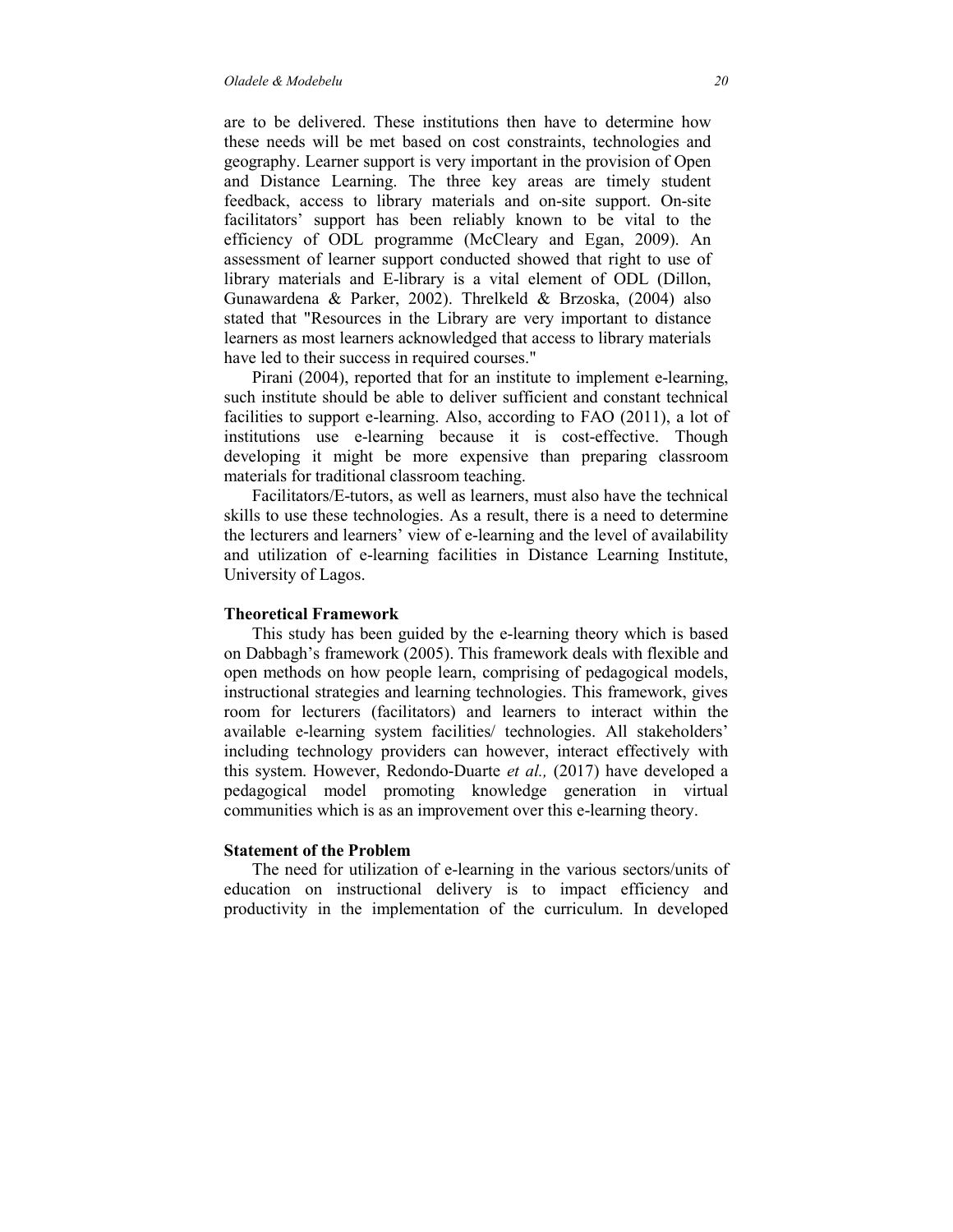are to be delivered. These institutions then have to determine how these needs will be met based on cost constraints, technologies and geography. Learner support is very important in the provision of Open and Distance Learning. The three key areas are timely student feedback, access to library materials and on-site support. On-site facilitators' support has been reliably known to be vital to the efficiency of ODL programme (McCleary and Egan, 2009). An assessment of learner support conducted showed that right to use of library materials and E-library is a vital element of ODL (Dillon, Gunawardena & Parker, 2002). Threlkeld & Brzoska, (2004) also stated that "Resources in the Library are very important to distance learners as most learners acknowledged that access to library materials have led to their success in required courses."

 Pirani (2004), reported that for an institute to implement e-learning, such institute should be able to deliver sufficient and constant technical facilities to support e-learning. Also, according to FAO (2011), a lot of institutions use e-learning because it is cost-effective. Though developing it might be more expensive than preparing classroom materials for traditional classroom teaching.

 Facilitators/E-tutors, as well as learners, must also have the technical skills to use these technologies. As a result, there is a need to determine the lecturers and learners' view of e-learning and the level of availability and utilization of e-learning facilities in Distance Learning Institute, University of Lagos.

### **Theoretical Framework**

 This study has been guided by the e-learning theory which is based on Dabbagh's framework (2005). This framework deals with flexible and open methods on how people learn, comprising of pedagogical models, instructional strategies and learning technologies. This framework, gives room for lecturers (facilitators) and learners to interact within the available e-learning system facilities/ technologies. All stakeholders' including technology providers can however, interact effectively with this system. However, Redondo-Duarte *et al.,* (2017) have developed a pedagogical model promoting knowledge generation in virtual communities which is as an improvement over this e-learning theory.

### **Statement of the Problem**

 The need for utilization of e-learning in the various sectors/units of education on instructional delivery is to impact efficiency and productivity in the implementation of the curriculum. In developed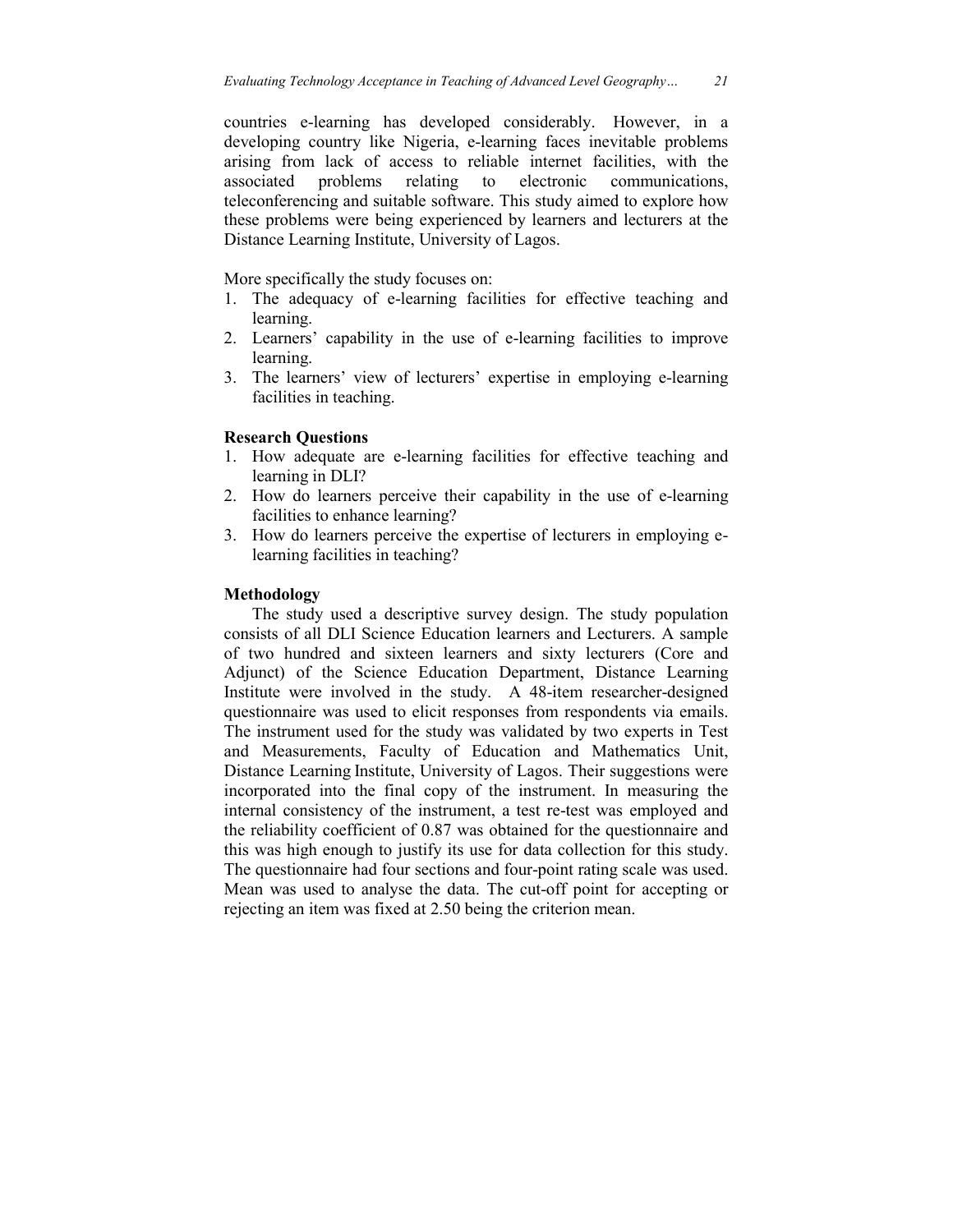countries e-learning has developed considerably. However, in a developing country like Nigeria, e-learning faces inevitable problems arising from lack of access to reliable internet facilities, with the associated problems relating to electronic communications, teleconferencing and suitable software. This study aimed to explore how these problems were being experienced by learners and lecturers at the Distance Learning Institute, University of Lagos.

More specifically the study focuses on:

- 1. The adequacy of e-learning facilities for effective teaching and learning.
- 2. Learners' capability in the use of e-learning facilities to improve learning.
- 3. The learners' view of lecturers' expertise in employing e-learning facilities in teaching.

# **Research Questions**

- 1. How adequate are e-learning facilities for effective teaching and learning in DLI?
- 2. How do learners perceive their capability in the use of e-learning facilities to enhance learning?
- 3. How do learners perceive the expertise of lecturers in employing elearning facilities in teaching?

### **Methodology**

 The study used a descriptive survey design. The study population consists of all DLI Science Education learners and Lecturers. A sample of two hundred and sixteen learners and sixty lecturers (Core and Adjunct) of the Science Education Department, Distance Learning Institute were involved in the study. A 48-item researcher-designed questionnaire was used to elicit responses from respondents via emails. The instrument used for the study was validated by two experts in Test and Measurements, Faculty of Education and Mathematics Unit, Distance Learning Institute, University of Lagos. Their suggestions were incorporated into the final copy of the instrument. In measuring the internal consistency of the instrument, a test re-test was employed and the reliability coefficient of 0.87 was obtained for the questionnaire and this was high enough to justify its use for data collection for this study. The questionnaire had four sections and four-point rating scale was used. Mean was used to analyse the data. The cut-off point for accepting or rejecting an item was fixed at 2.50 being the criterion mean.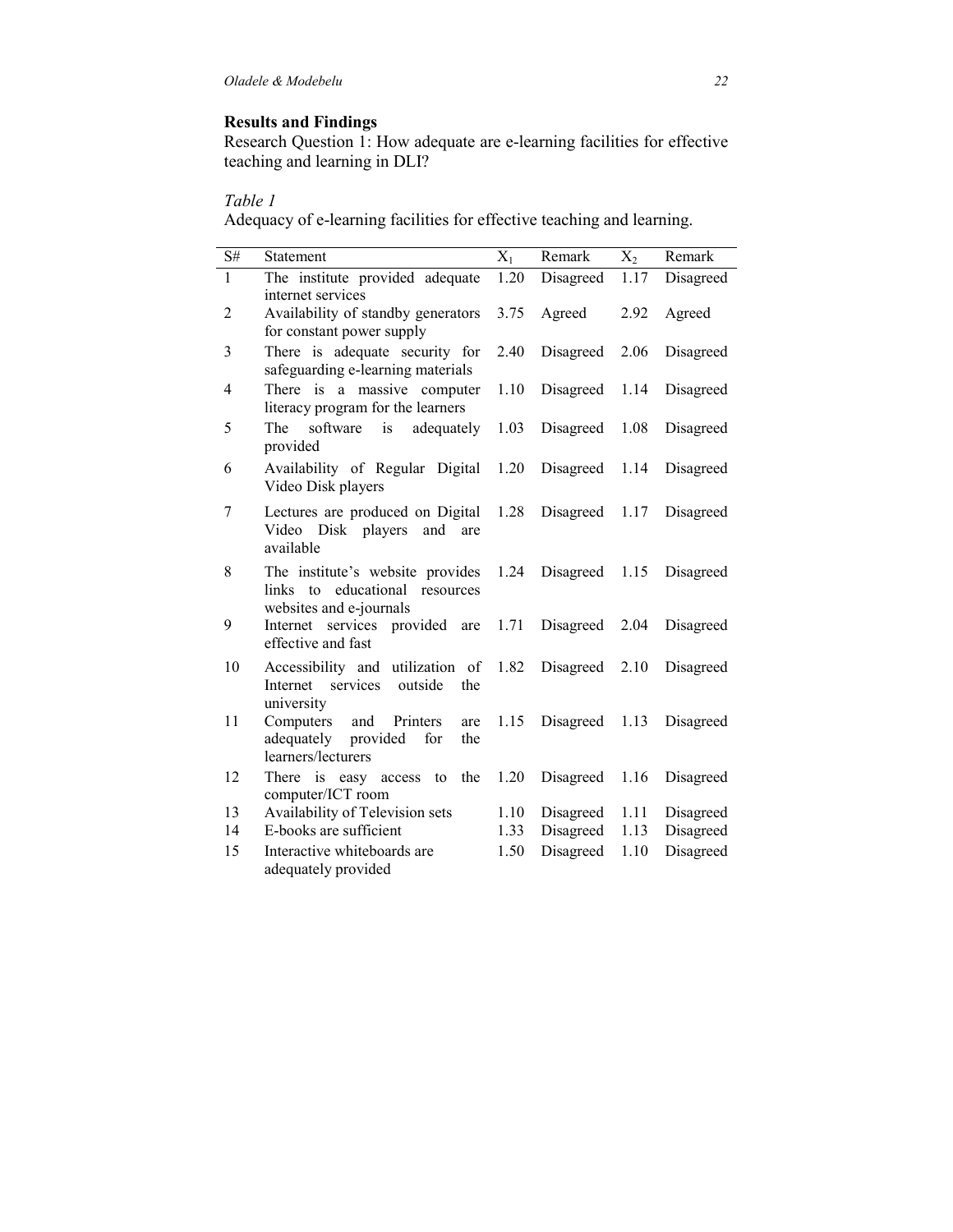### **Results and Findings**

Research Question 1: How adequate are e-learning facilities for effective teaching and learning in DLI?

# *Table 1*

Adequacy of e-learning facilities for effective teaching and learning.

| $\mathrm{S}\#$ | Statement                                                                                         | $X_1$ | Remark    | $X_2$ | Remark    |
|----------------|---------------------------------------------------------------------------------------------------|-------|-----------|-------|-----------|
| $\mathbf{1}$   | The institute provided adequate<br>internet services                                              | 1.20  | Disagreed | 1.17  | Disagreed |
| $\overline{c}$ | Availability of standby generators<br>for constant power supply                                   | 3.75  | Agreed    | 2.92  | Agreed    |
| 3              | There is adequate security for<br>safeguarding e-learning materials                               | 2.40  | Disagreed | 2.06  | Disagreed |
| $\overline{4}$ | There is a massive computer<br>literacy program for the learners                                  | 1.10  | Disagreed | 1.14  | Disagreed |
| 5              | software<br>is<br>adequately<br>The<br>provided                                                   | 1.03  | Disagreed | 1.08  | Disagreed |
| 6              | Availability of Regular Digital<br>Video Disk players                                             | 1.20  | Disagreed | 1.14  | Disagreed |
| 7              | Lectures are produced on Digital<br>Video Disk players<br>and<br>are<br>available                 | 1.28  | Disagreed | 1.17  | Disagreed |
| 8              | The institute's website provides<br>links to educational resources<br>websites and e-journals     | 1.24  | Disagreed | 1.15  | Disagreed |
| 9              | Internet services provided are<br>effective and fast                                              | 1.71  | Disagreed | 2.04  | Disagreed |
| 10             | Accessibility and utilization of<br>services<br>outside<br>Internet<br>the<br>university          | 1.82  | Disagreed | 2.10  | Disagreed |
| 11             | Computers<br>and<br>Printers<br>are<br>adequately<br>provided<br>for<br>the<br>learners/lecturers | 1.15  | Disagreed | 1.13  | Disagreed |
| 12             | the<br>There is easy<br>access to<br>computer/ICT room                                            | 1.20  | Disagreed | 1.16  | Disagreed |
| 13             | Availability of Television sets                                                                   | 1.10  | Disagreed | 1.11  | Disagreed |
| 14             | E-books are sufficient                                                                            | 1.33  | Disagreed | 1.13  | Disagreed |
| 15             | Interactive whiteboards are<br>adequately provided                                                | 1.50  | Disagreed | 1.10  | Disagreed |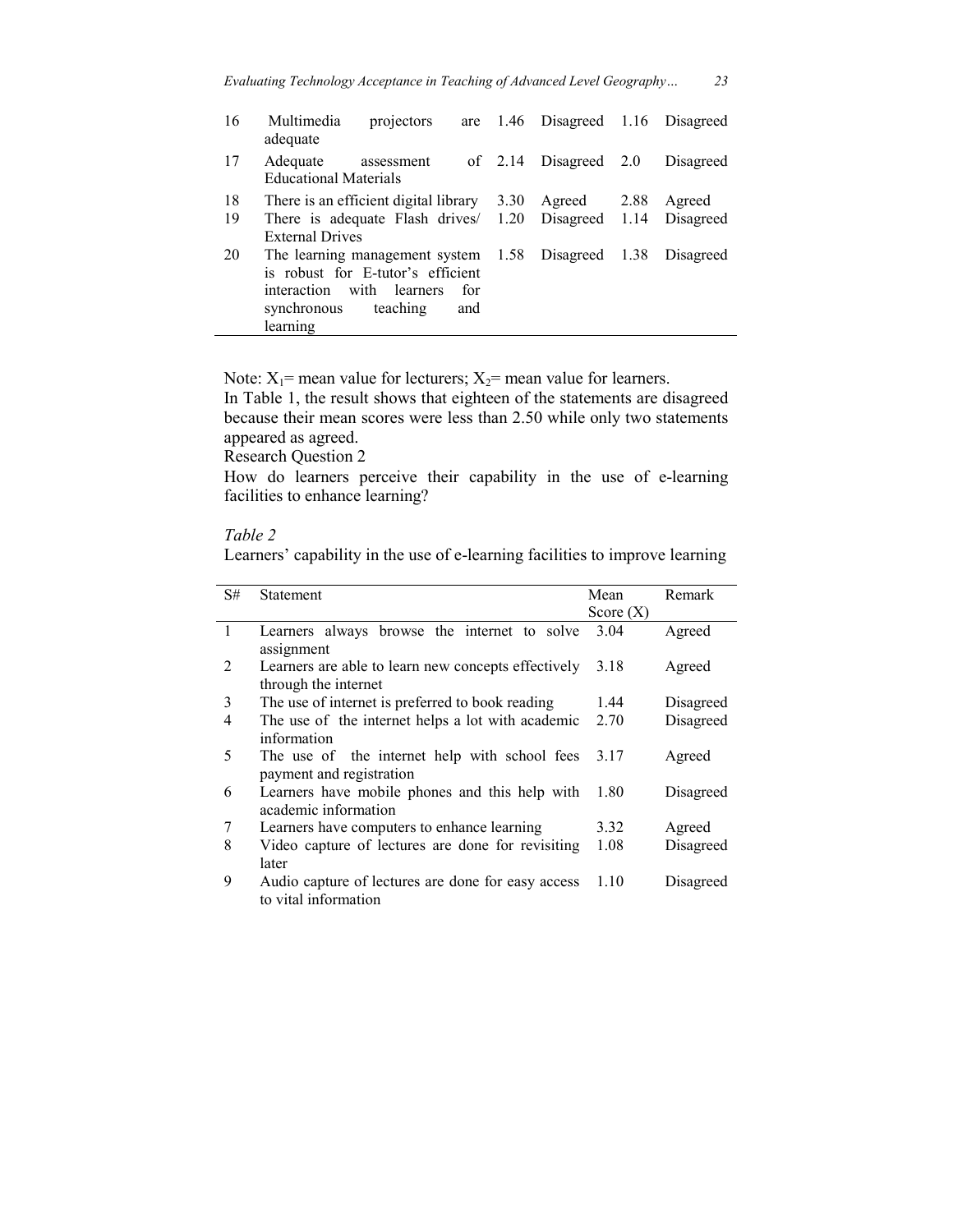| 16 | Multimedia<br>projectors<br>adequate                   | are 1.46 Disagreed 1.16 Disagreed |      |           |
|----|--------------------------------------------------------|-----------------------------------|------|-----------|
| 17 | Adequate<br>assessment<br><b>Educational Materials</b> | of $2.14$ Disagreed $2.0$         |      | Disagreed |
| 18 | There is an efficient digital library $3.30$           | Agreed                            | 2.88 | Agreed    |
| 19 | There is adequate Flash drives/ 1.20 Disagreed 1.14    |                                   |      | Disagreed |
|    | <b>External Drives</b>                                 |                                   |      |           |
| 20 | The learning management system 1.58 Disagreed 1.38     |                                   |      | Disagreed |
|    | is robust for E-tutor's efficient                      |                                   |      |           |
|    | interaction with learners<br>for                       |                                   |      |           |
|    | synchronous teaching<br>and                            |                                   |      |           |
|    | learning                                               |                                   |      |           |

Note:  $X_1$ = mean value for lecturers;  $X_2$ = mean value for learners.

In Table 1, the result shows that eighteen of the statements are disagreed because their mean scores were less than 2.50 while only two statements appeared as agreed.

Research Question 2

How do learners perceive their capability in the use of e-learning facilities to enhance learning?

## *Table 2*

Learners' capability in the use of e-learning facilities to improve learning

| S#             | <b>Statement</b>                                                            | Mean        | Remark    |
|----------------|-----------------------------------------------------------------------------|-------------|-----------|
|                |                                                                             | Score $(X)$ |           |
| 1              | Learners always browse the internet to solve<br>assignment                  | 3.04        | Agreed    |
| $\overline{2}$ | Learners are able to learn new concepts effectively<br>through the internet | 3.18        | Agreed    |
| 3              | The use of internet is preferred to book reading                            | 1.44        | Disagreed |
| 4              | The use of the internet helps a lot with academic<br>information            | 2.70        | Disagreed |
| 5              | The use of the internet help with school fees<br>payment and registration   | 3.17        | Agreed    |
| 6              | Learners have mobile phones and this help with<br>academic information      | 1.80        | Disagreed |
| 7              | Learners have computers to enhance learning                                 | 3.32        | Agreed    |
| 8              | Video capture of lectures are done for revisiting<br>later                  | 1.08        | Disagreed |
| 9              | Audio capture of lectures are done for easy access<br>to vital information  | 1.10        | Disagreed |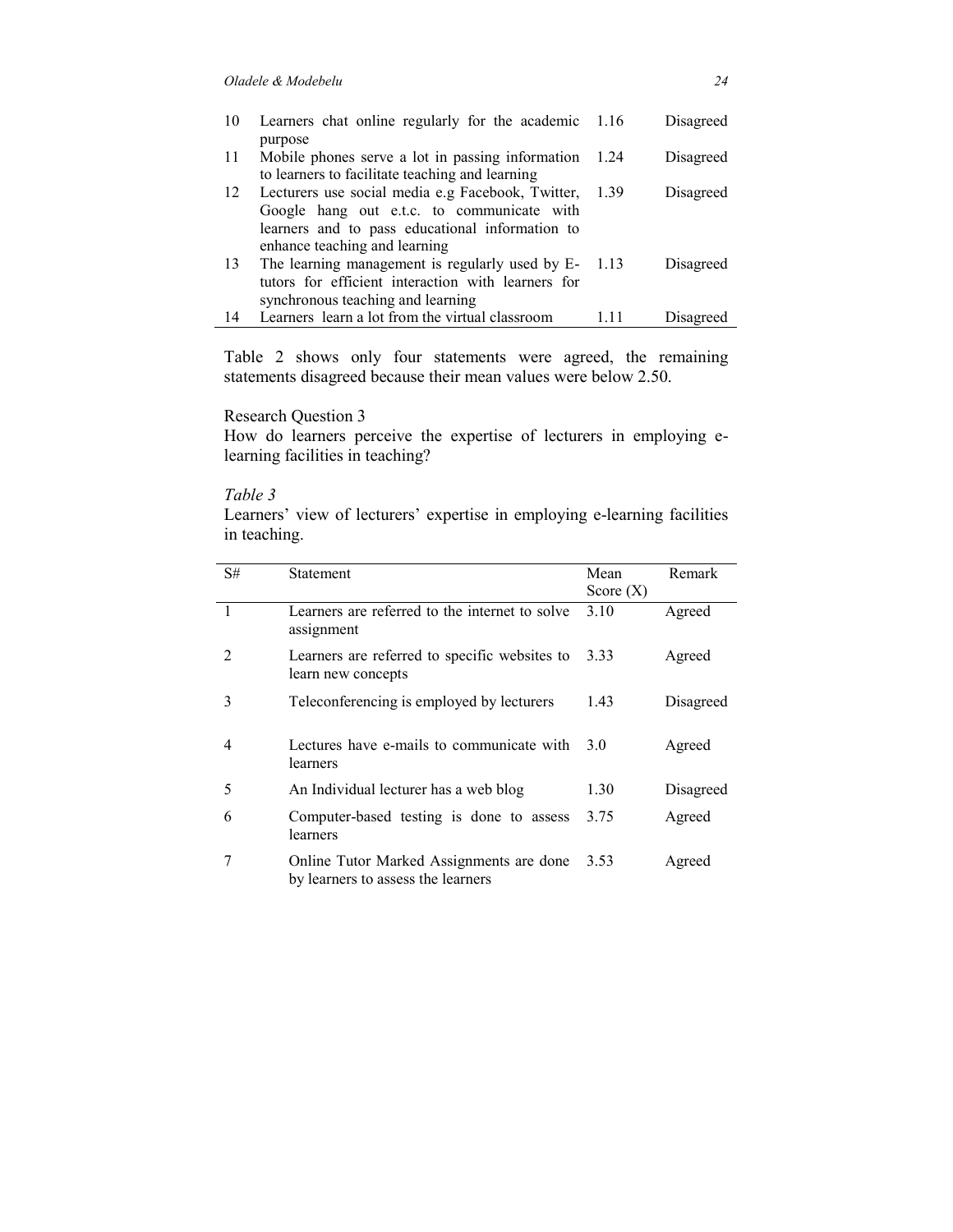| 10 | Learners chat online regularly for the academic 1.16        |        | Disagreed |
|----|-------------------------------------------------------------|--------|-----------|
| 11 | purpose<br>Mobile phones serve a lot in passing information | 1.24   | Disagreed |
|    | to learners to facilitate teaching and learning             |        |           |
| 12 | Lecturers use social media e.g Facebook, Twitter,           | 1.39   | Disagreed |
|    | Google hang out e.t.c. to communicate with                  |        |           |
|    | learners and to pass educational information to             |        |           |
|    | enhance teaching and learning                               |        |           |
| 13 | The learning management is regularly used by E-             | - 1.13 | Disagreed |
|    | tutors for efficient interaction with learners for          |        |           |
|    | synchronous teaching and learning                           |        |           |
| 14 | Learners learn a lot from the virtual classroom             |        | Disagreed |

Table 2 shows only four statements were agreed, the remaining statements disagreed because their mean values were below 2.50.

Research Question 3

How do learners perceive the expertise of lecturers in employing elearning facilities in teaching?

### *Table 3*

Learners' view of lecturers' expertise in employing e-learning facilities in teaching.

| S#             | Statement                                                                      | Mean        | Remark    |
|----------------|--------------------------------------------------------------------------------|-------------|-----------|
|                |                                                                                | Score $(X)$ |           |
| $\overline{1}$ | Learners are referred to the internet to solve<br>assignment                   | 3.10        | Agreed    |
| $\mathfrak{D}$ | Learners are referred to specific websites to<br>learn new concepts            | 3.33        | Agreed    |
| 3              | Teleconferencing is employed by lecturers                                      | 1.43        | Disagreed |
| 4              | Lectures have e-mails to communicate with<br>learners                          | 3.0         | Agreed    |
| 5              | An Individual lecturer has a web blog                                          | 1.30        | Disagreed |
| 6              | Computer-based testing is done to assess<br>learners                           | 3.75        | Agreed    |
|                | Online Tutor Marked Assignments are done<br>by learners to assess the learners | 3.53        | Agreed    |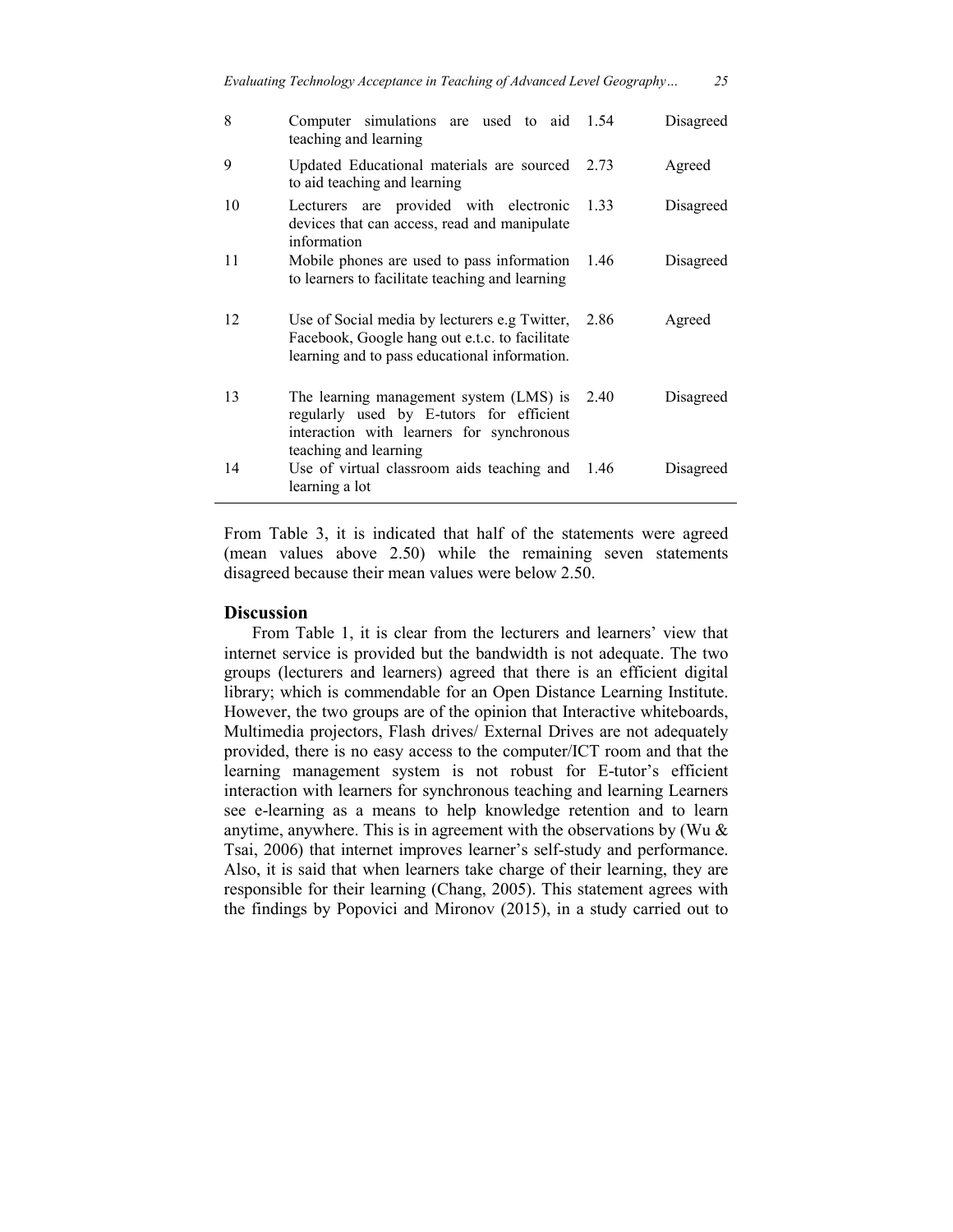| 8  | Computer simulations are used to aid 1.54<br>teaching and learning                                                                                        |      | Disagreed |
|----|-----------------------------------------------------------------------------------------------------------------------------------------------------------|------|-----------|
| 9  | Updated Educational materials are sourced 2.73<br>to aid teaching and learning                                                                            |      | Agreed    |
| 10 | Lecturers are provided with electronic 1.33<br>devices that can access, read and manipulate<br>information                                                |      | Disagreed |
| 11 | Mobile phones are used to pass information<br>to learners to facilitate teaching and learning                                                             | 1.46 | Disagreed |
| 12 | Use of Social media by lecturers e.g Twitter, 2.86<br>Facebook, Google hang out e.t.c. to facilitate<br>learning and to pass educational information.     |      | Agreed    |
| 13 | The learning management system (LMS) is<br>regularly used by E-tutors for efficient<br>interaction with learners for synchronous<br>teaching and learning | 2.40 | Disagreed |
| 14 | Use of virtual classroom aids teaching and<br>learning a lot                                                                                              | 1.46 | Disagreed |

From Table 3, it is indicated that half of the statements were agreed (mean values above 2.50) while the remaining seven statements disagreed because their mean values were below 2.50.

## **Discussion**

 From Table 1, it is clear from the lecturers and learners' view that internet service is provided but the bandwidth is not adequate. The two groups (lecturers and learners) agreed that there is an efficient digital library; which is commendable for an Open Distance Learning Institute. However, the two groups are of the opinion that Interactive whiteboards, Multimedia projectors, Flash drives/ External Drives are not adequately provided, there is no easy access to the computer/ICT room and that the learning management system is not robust for E-tutor's efficient interaction with learners for synchronous teaching and learning Learners see e-learning as a means to help knowledge retention and to learn anytime, anywhere. This is in agreement with the observations by (Wu  $\&$ Tsai, 2006) that internet improves learner's self-study and performance. Also, it is said that when learners take charge of their learning, they are responsible for their learning (Chang, 2005). This statement agrees with the findings by Popovici and Mironov (2015), in a study carried out to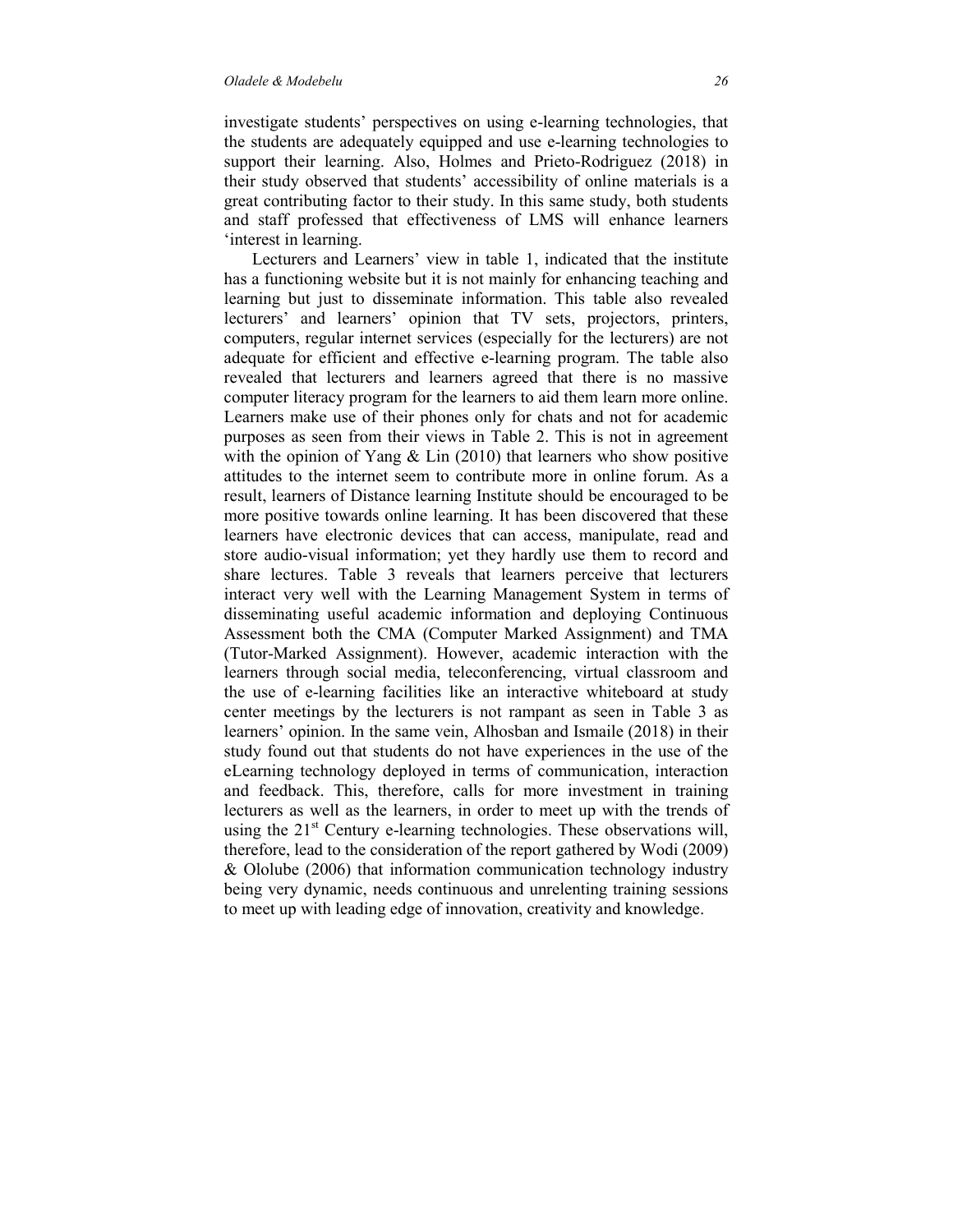#### *Oladele & Modebelu 26*

investigate students' perspectives on using e-learning technologies, that the students are adequately equipped and use e-learning technologies to support their learning. Also, Holmes and Prieto-Rodriguez (2018) in their study observed that students' accessibility of online materials is a great contributing factor to their study. In this same study, both students and staff professed that effectiveness of LMS will enhance learners 'interest in learning.

 Lecturers and Learners' view in table 1, indicated that the institute has a functioning website but it is not mainly for enhancing teaching and learning but just to disseminate information. This table also revealed lecturers' and learners' opinion that TV sets, projectors, printers, computers, regular internet services (especially for the lecturers) are not adequate for efficient and effective e-learning program. The table also revealed that lecturers and learners agreed that there is no massive computer literacy program for the learners to aid them learn more online. Learners make use of their phones only for chats and not for academic purposes as seen from their views in Table 2. This is not in agreement with the opinion of Yang & Lin (2010) that learners who show positive attitudes to the internet seem to contribute more in online forum. As a result, learners of Distance learning Institute should be encouraged to be more positive towards online learning. It has been discovered that these learners have electronic devices that can access, manipulate, read and store audio-visual information; yet they hardly use them to record and share lectures. Table 3 reveals that learners perceive that lecturers interact very well with the Learning Management System in terms of disseminating useful academic information and deploying Continuous Assessment both the CMA (Computer Marked Assignment) and TMA (Tutor-Marked Assignment). However, academic interaction with the learners through social media, teleconferencing, virtual classroom and the use of e-learning facilities like an interactive whiteboard at study center meetings by the lecturers is not rampant as seen in Table 3 as learners' opinion. In the same vein, Alhosban and Ismaile (2018) in their study found out that students do not have experiences in the use of the eLearning technology deployed in terms of communication, interaction and feedback. This, therefore, calls for more investment in training lecturers as well as the learners, in order to meet up with the trends of using the  $21<sup>st</sup>$  Century e-learning technologies. These observations will, therefore, lead to the consideration of the report gathered by Wodi (2009) & Ololube (2006) that information communication technology industry being very dynamic, needs continuous and unrelenting training sessions to meet up with leading edge of innovation, creativity and knowledge.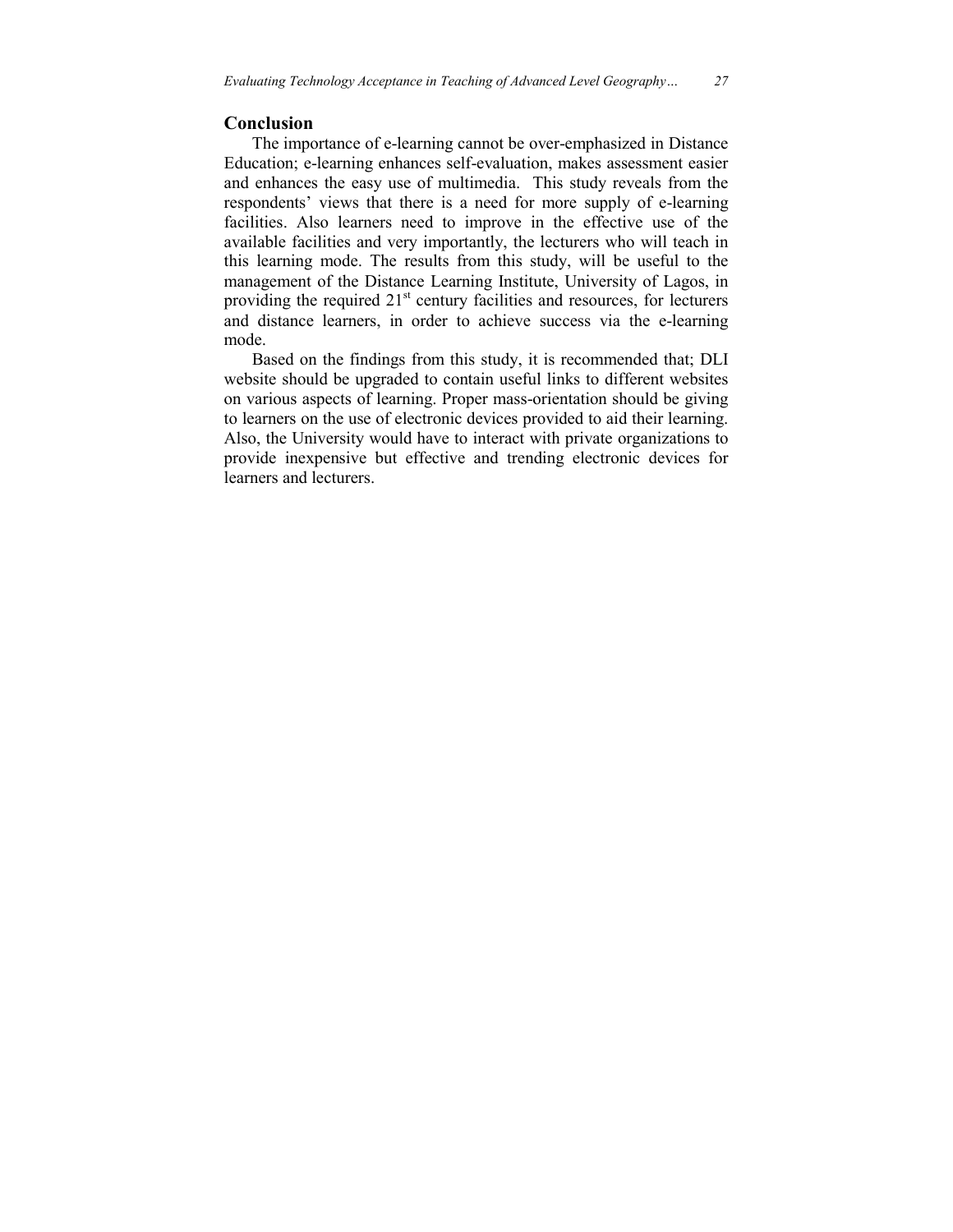# **Conclusion**

 The importance of e-learning cannot be over-emphasized in Distance Education; e-learning enhances self-evaluation, makes assessment easier and enhances the easy use of multimedia. This study reveals from the respondents' views that there is a need for more supply of e-learning facilities. Also learners need to improve in the effective use of the available facilities and very importantly, the lecturers who will teach in this learning mode. The results from this study, will be useful to the management of the Distance Learning Institute, University of Lagos, in providing the required  $21<sup>st</sup>$  century facilities and resources, for lecturers and distance learners, in order to achieve success via the e-learning mode.

 Based on the findings from this study, it is recommended that; DLI website should be upgraded to contain useful links to different websites on various aspects of learning. Proper mass-orientation should be giving to learners on the use of electronic devices provided to aid their learning. Also, the University would have to interact with private organizations to provide inexpensive but effective and trending electronic devices for learners and lecturers.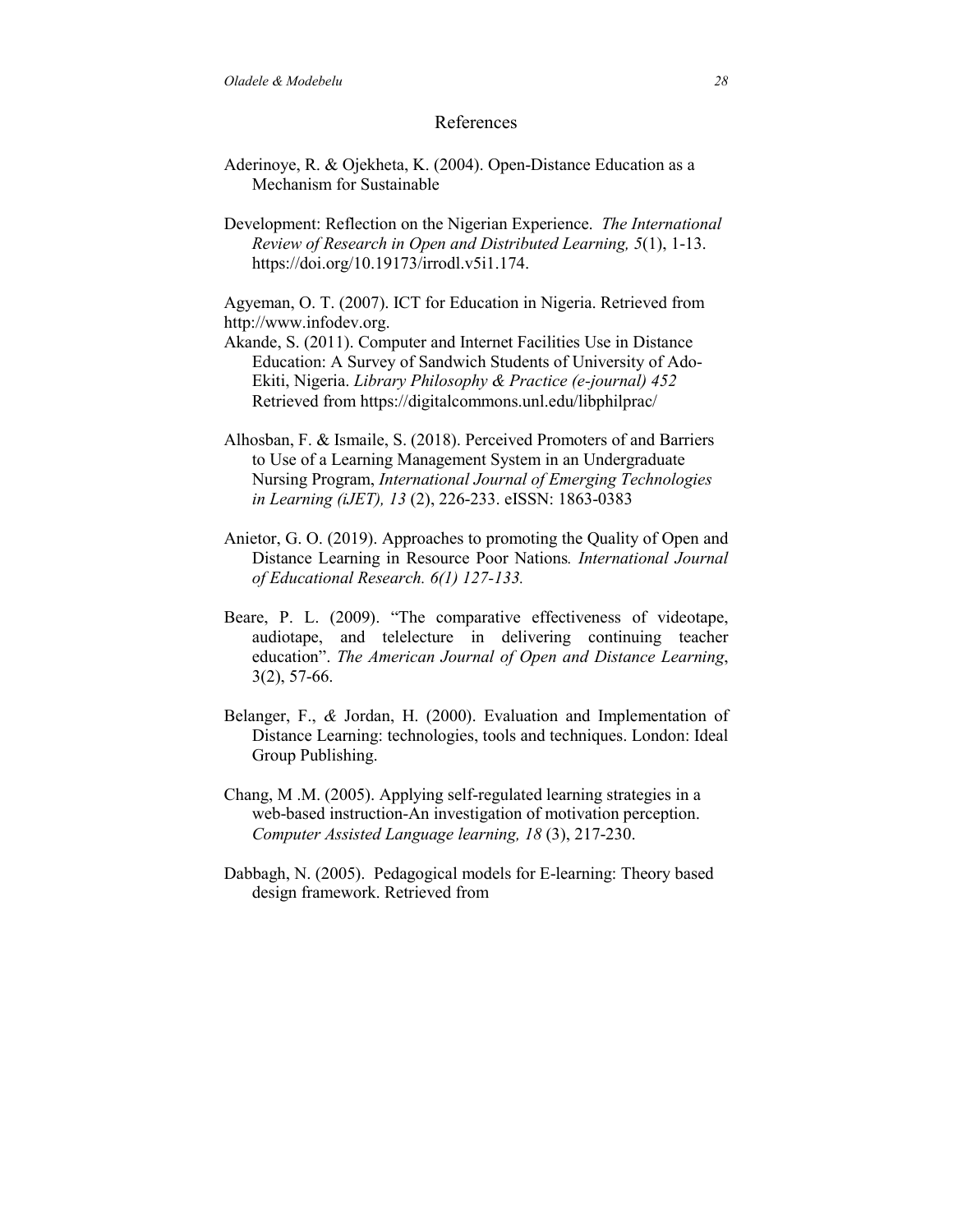## References

- Aderinoye, R. & Ojekheta, K. (2004). Open-Distance Education as a Mechanism for Sustainable
- Development: Reflection on the Nigerian Experience. *The International Review of Research in Open and Distributed Learning, 5*(1), 1-13. https://doi.org/10.19173/irrodl.v5i1.174.

Agyeman, O. T. (2007). ICT for Education in Nigeria. Retrieved from http://www.infodev.org.

- Akande, S. (2011). Computer and Internet Facilities Use in Distance Education: A Survey of Sandwich Students of University of Ado-Ekiti, Nigeria. *Library Philosophy & Practice (e-journal) 452*  Retrieved from https://digitalcommons.unl.edu/libphilprac/
- Alhosban, F. & Ismaile, S. (2018). Perceived Promoters of and Barriers to Use of a Learning Management System in an Undergraduate Nursing Program, *International Journal of Emerging Technologies in Learning (iJET), 13* (2), 226-233. eISSN: 1863-0383
- Anietor, G. O. (2019). Approaches to promoting the Quality of Open and Distance Learning in Resource Poor Nations*. International Journal of Educational Research. 6(1) 127-133.*
- Beare, P. L. (2009). "The comparative effectiveness of videotape, audiotape, and telelecture in delivering continuing teacher education". *The American Journal of Open and Distance Learning*, 3(2), 57-66.
- Belanger, F., *&* Jordan, H. (2000). Evaluation and Implementation of Distance Learning: technologies, tools and techniques. London: Ideal Group Publishing.
- Chang, M .M. (2005). Applying self-regulated learning strategies in a web-based instruction-An investigation of motivation perception. *Computer Assisted Language learning, 18* (3), 217-230.
- Dabbagh, N. (2005). Pedagogical models for E-learning: Theory based design framework. Retrieved from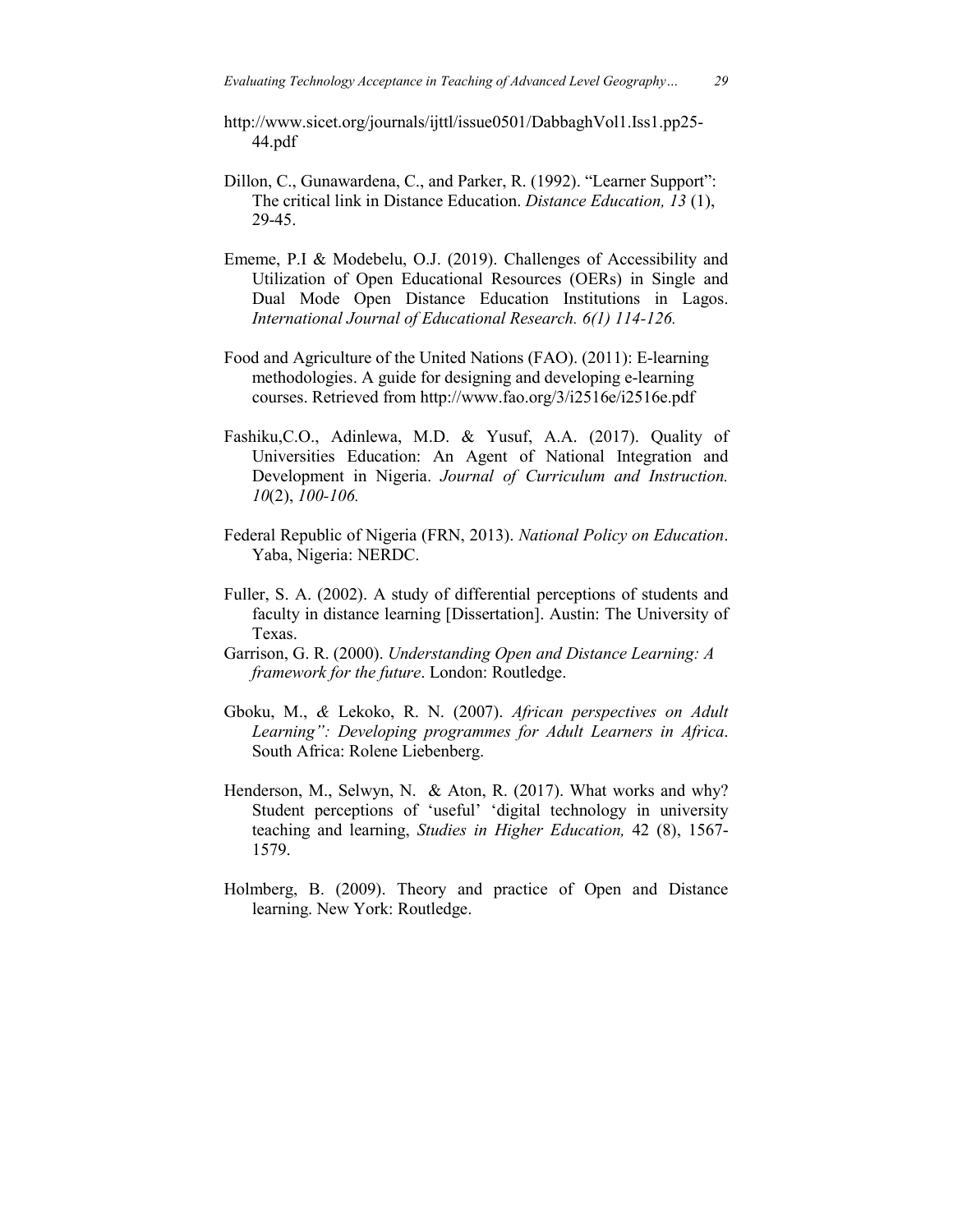- http://www.sicet.org/journals/ijttl/issue0501/DabbaghVol1.Iss1.pp25- 44.pdf
- Dillon, C., Gunawardena, C., and Parker, R. (1992). "Learner Support": The critical link in Distance Education. *Distance Education, 13* (1), 29-45.
- Ememe, P.I & Modebelu, O.J. (2019). Challenges of Accessibility and Utilization of Open Educational Resources (OERs) in Single and Dual Mode Open Distance Education Institutions in Lagos. *International Journal of Educational Research. 6(1) 114-126.*
- Food and Agriculture of the United Nations (FAO). (2011): E-learning methodologies. A guide for designing and developing e-learning courses. Retrieved from http://www.fao.org/3/i2516e/i2516e.pdf
- Fashiku,C.O., Adinlewa, M.D. & Yusuf, A.A. (2017). Quality of Universities Education: An Agent of National Integration and Development in Nigeria. *Journal of Curriculum and Instruction. 10*(2), *100-106.*
- Federal Republic of Nigeria (FRN, 2013). *National Policy on Education*. Yaba, Nigeria: NERDC.
- Fuller, S. A. (2002). A study of differential perceptions of students and faculty in distance learning [Dissertation]. Austin: The University of Texas.
- Garrison, G. R. (2000). *Understanding Open and Distance Learning: A framework for the future*. London: Routledge.
- Gboku, M., *&* Lekoko, R. N. (2007). *African perspectives on Adult Learning": Developing programmes for Adult Learners in Africa*. South Africa: Rolene Liebenberg.
- Henderson, M., Selwyn, N. & Aton, R. (2017). What works and why? Student perceptions of 'useful' 'digital technology in university teaching and learning, *Studies in Higher Education,* 42 (8), 1567- 1579.
- Holmberg, B. (2009). Theory and practice of Open and Distance learning. New York: Routledge.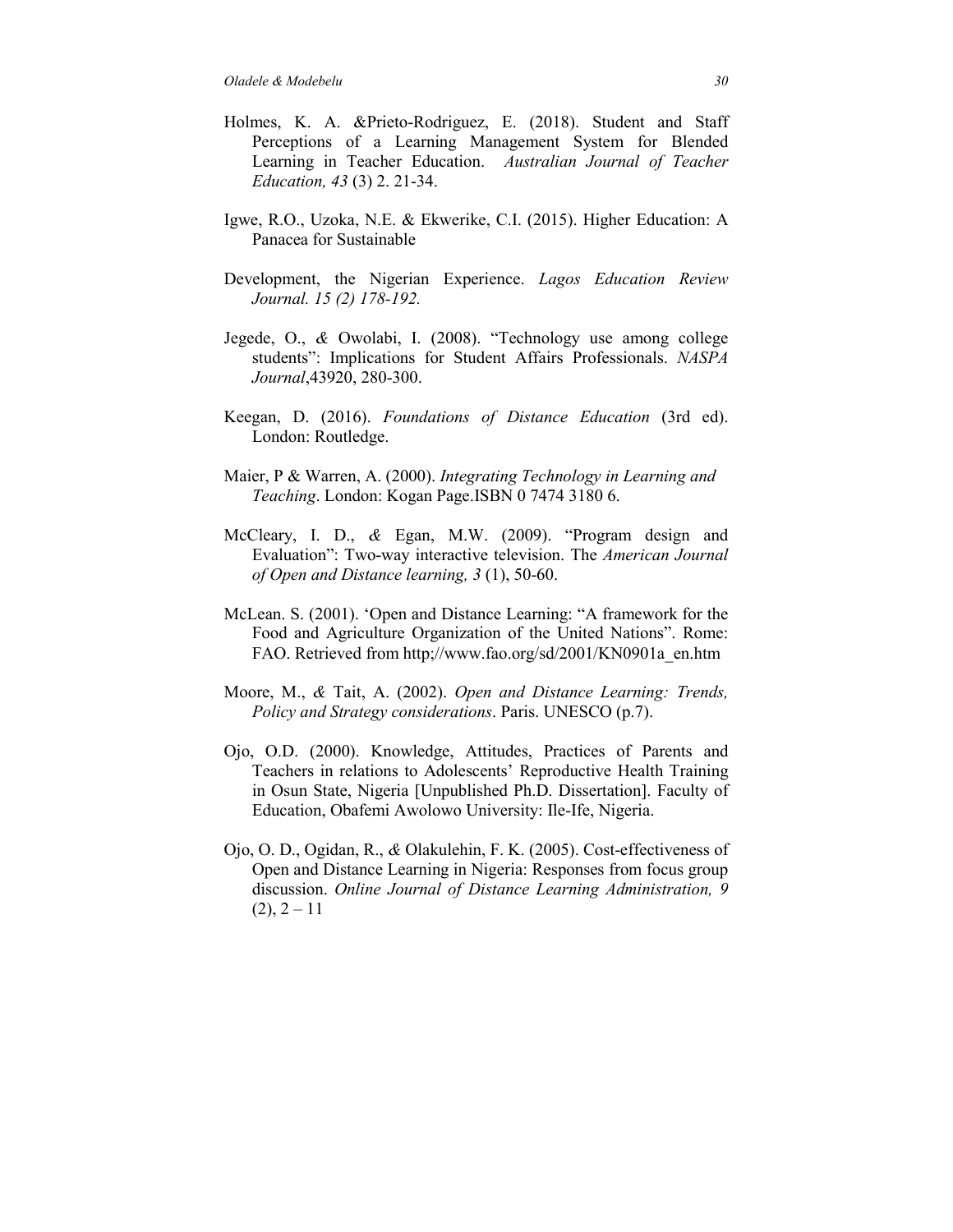- Holmes, K. A. &Prieto-Rodriguez, E. (2018). Student and Staff Perceptions of a Learning Management System for Blended Learning in Teacher Education. *Australian Journal of Teacher Education, 43* (3) 2. 21-34.
- Igwe, R.O., Uzoka, N.E. & Ekwerike, C.I. (2015). Higher Education: A Panacea for Sustainable
- Development, the Nigerian Experience. *Lagos Education Review Journal. 15 (2) 178-192.*
- Jegede, O., *&* Owolabi, I. (2008). "Technology use among college students": Implications for Student Affairs Professionals. *NASPA Journal*,43920, 280-300.
- Keegan, D. (2016). *Foundations of Distance Education* (3rd ed). London: Routledge.
- Maier, P & Warren, A. (2000). *Integrating Technology in Learning and Teaching*. London: Kogan Page.ISBN 0 7474 3180 6.
- McCleary, I. D., *&* Egan, M.W. (2009). "Program design and Evaluation": Two-way interactive television. The *American Journal of Open and Distance learning, 3* (1), 50-60.
- McLean. S. (2001). 'Open and Distance Learning: "A framework for the Food and Agriculture Organization of the United Nations". Rome: FAO. Retrieved from http;//www.fao.org/sd/2001/KN0901a\_en.htm
- Moore, M., *&* Tait, A. (2002). *Open and Distance Learning: Trends, Policy and Strategy considerations*. Paris. UNESCO (p.7).
- Ojo, O.D. (2000). Knowledge, Attitudes, Practices of Parents and Teachers in relations to Adolescents' Reproductive Health Training in Osun State, Nigeria [Unpublished Ph.D. Dissertation]. Faculty of Education, Obafemi Awolowo University: Ile-Ife, Nigeria.
- Ojo, O. D., Ogidan, R., *&* Olakulehin, F. K. (2005). Cost-effectiveness of Open and Distance Learning in Nigeria: Responses from focus group discussion. *Online Journal of Distance Learning Administration, 9*  $(2), 2 - 11$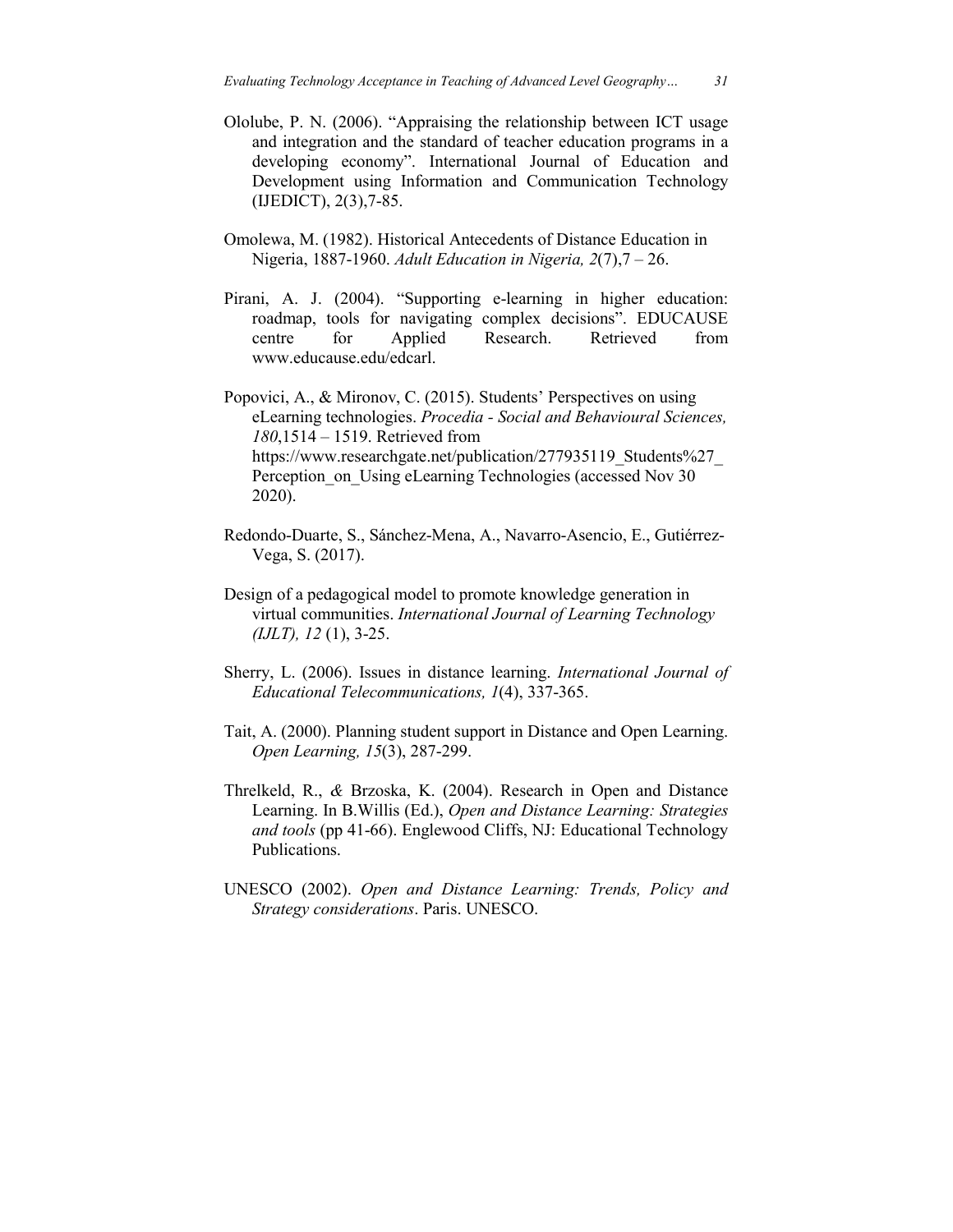- Ololube, P. N. (2006). "Appraising the relationship between ICT usage and integration and the standard of teacher education programs in a developing economy". International Journal of Education and Development using Information and Communication Technology (IJEDICT), 2(3),7-85.
- Omolewa, M. (1982). Historical Antecedents of Distance Education in Nigeria, 1887-1960. *Adult Education in Nigeria, 2*(7),7 – 26.
- Pirani, A. J. (2004). "Supporting e-learning in higher education: roadmap, tools for navigating complex decisions". EDUCAUSE centre for Applied Research. Retrieved from www.educause.edu/edcarl.

Popovici, A., & Mironov, C. (2015). Students' Perspectives on using eLearning technologies. *Procedia - Social and Behavioural Sciences, 180*,1514 – 1519. Retrieved from https://www.researchgate.net/publication/277935119\_Students%27 Perception on Using eLearning Technologies (accessed Nov 30) 2020).

- Redondo-Duarte, S., Sánchez-Mena, A., Navarro-Asencio, E., Gutiérrez-Vega, S. (2017).
- Design of a pedagogical model to promote knowledge generation in virtual communities. *International Journal of Learning Technology (IJLT), 12* (1), 3-25.
- Sherry, L. (2006). Issues in distance learning. *International Journal of Educational Telecommunications, 1*(4), 337-365.
- Tait, A. (2000). Planning student support in Distance and Open Learning. *Open Learning, 15*(3), 287-299.
- Threlkeld, R., *&* Brzoska, K. (2004). Research in Open and Distance Learning. In B.Willis (Ed.), *Open and Distance Learning: Strategies and tools* (pp 41-66). Englewood Cliffs, NJ: Educational Technology Publications.
- UNESCO (2002). *Open and Distance Learning: Trends, Policy and Strategy considerations*. Paris. UNESCO.